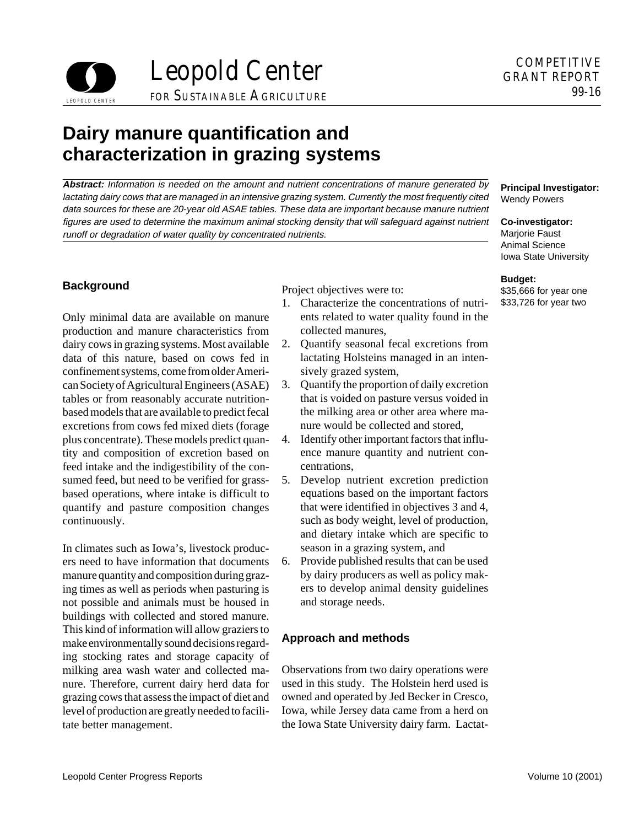

# **Dairy manure quantification and characterization in grazing systems**

**Abstract:** Information is needed on the amount and nutrient concentrations of manure generated by lactating dairy cows that are managed in an intensive grazing system. Currently the most frequently cited data sources for these are 20-year old ASAE tables. These data are important because manure nutrient figures are used to determine the maximum animal stocking density that will safeguard against nutrient runoff or degradation of water quality by concentrated nutrients.

Only minimal data are available on manure ents related to water quality found in the production and manure characteristics from collected manures, dairy cows in grazing systems. Most available 2. Quantify seasonal fecal excretions from data of this nature, based on cows fed in lactating Holsteins managed in an intenconfinement systems, come from older Ameri- sively grazed system, can Society of Agricultural Engineers (ASAE) 3. Quantify the proportion of daily excretion tables or from reasonably accurate nutrition- that is voided on pasture versus voided in based models that are available to predict fecal the milking area or other area where maexcretions from cows fed mixed diets (forage nure would be collected and stored, plus concentrate). These models predict quan- 4. Identify other important factors that influtity and composition of excretion based on ence manure quantity and nutrient confeed intake and the indigestibility of the con- centrations, sumed feed, but need to be verified for grass- 5. Develop nutrient excretion prediction based operations, where intake is difficult to equations based on the important factors quantify and pasture composition changes that were identified in objectives 3 and 4, continuously. such as body weight, level of production,

In climates such as Iowa's, livestock produc- season in a grazing system, and ers need to have information that documents 6. Provide published results that can be used manure quantity and composition during graz- by dairy producers as well as policy making times as well as periods when pasturing is ers to develop animal density guidelines not possible and animals must be housed in and storage needs. buildings with collected and stored manure. This kind of information will allow graziers to make environmentally sound decisions regard-<br>**Approach and methods** ing stocking rates and storage capacity of milking area wash water and collected ma- Observations from two dairy operations were nure. Therefore, current dairy herd data for used in this study. The Holstein herd used is grazing cows that assess the impact of diet and owned and operated by Jed Becker in Cresco, level of production are greatly needed to facili-<br>Iowa, while Jersey data came from a herd on tate better management. the Iowa State University dairy farm. Lactat-

**Background Project objectives were to:** 

- 1. Characterize the concentrations of nutri-
- 
- 
- 
- and dietary intake which are specific to
- 

### **Principal Investigator:**  Wendy Powers

**Co-investigator:**  Marjorie Faust Animal Science Iowa State University

### **Budget:**

\$35,666 for year one \$33,726 for year two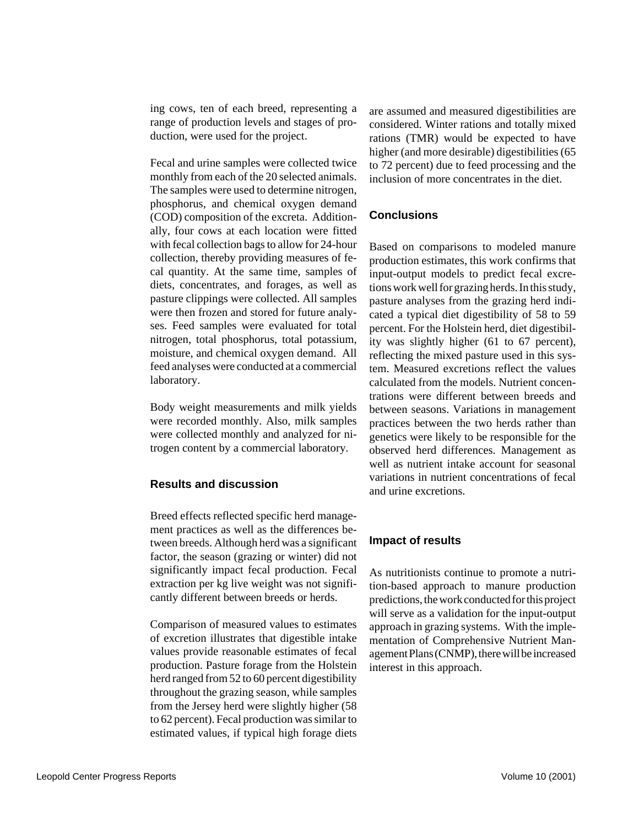ing cows, ten of each breed, representing a range of production levels and stages of production, were used for the project.

Fecal and urine samples were collected twice monthly from each of the 20 selected animals. The samples were used to determine nitrogen, phosphorus, and chemical oxygen demand (COD) composition of the excreta. Additionally, four cows at each location were fitted with fecal collection bags to allow for 24-hour collection, thereby providing measures of fecal quantity. At the same time, samples of diets, concentrates, and forages, as well as pasture clippings were collected. All samples were then frozen and stored for future analyses. Feed samples were evaluated for total nitrogen, total phosphorus, total potassium, moisture, and chemical oxygen demand. All feed analyses were conducted at a commercial laboratory.

Body weight measurements and milk yields were recorded monthly. Also, milk samples were collected monthly and analyzed for nitrogen content by a commercial laboratory.

# **Results and discussion**

Breed effects reflected specific herd management practices as well as the differences between breeds. Although herd was a significant factor, the season (grazing or winter) did not significantly impact fecal production. Fecal extraction per kg live weight was not significantly different between breeds or herds.

Comparison of measured values to estimates of excretion illustrates that digestible intake values provide reasonable estimates of fecal production. Pasture forage from the Holstein herd ranged from 52 to 60 percent digestibility throughout the grazing season, while samples from the Jersey herd were slightly higher (58 to 62 percent). Fecal production was similar to estimated values, if typical high forage diets are assumed and measured digestibilities are considered. Winter rations and totally mixed rations (TMR) would be expected to have higher (and more desirable) digestibilities (65 to 72 percent) due to feed processing and the inclusion of more concentrates in the diet.

# **Conclusions**

Based on comparisons to modeled manure production estimates, this work confirms that input-output models to predict fecal excretions work well for grazing herds. In this study, pasture analyses from the grazing herd indicated a typical diet digestibility of 58 to 59 percent. For the Holstein herd, diet digestibility was slightly higher (61 to 67 percent), reflecting the mixed pasture used in this system. Measured excretions reflect the values calculated from the models. Nutrient concentrations were different between breeds and between seasons. Variations in management practices between the two herds rather than genetics were likely to be responsible for the observed herd differences. Management as well as nutrient intake account for seasonal variations in nutrient concentrations of fecal and urine excretions.

# **Impact of results**

As nutritionists continue to promote a nutrition-based approach to manure production predictions, the work conducted for this project will serve as a validation for the input-output approach in grazing systems. With the implementation of Comprehensive Nutrient Management Plans (CNMP), there will be increased interest in this approach.